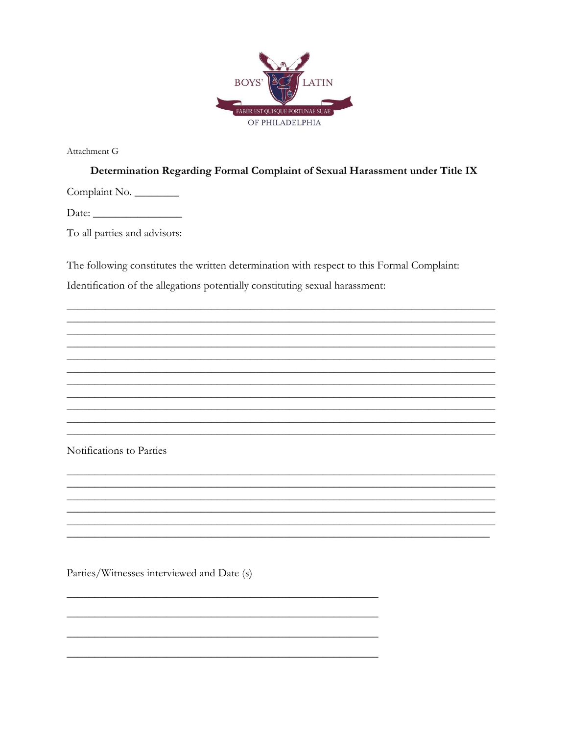

Attachment G

Determination Regarding Formal Complaint of Sexual Harassment under Title IX

Complaint No.

To all parties and advisors:

The following constitutes the written determination with respect to this Formal Complaint:

Identification of the allegations potentially constituting sexual harassment:

Notifications to Parties

Parties/Witnesses interviewed and Date (s)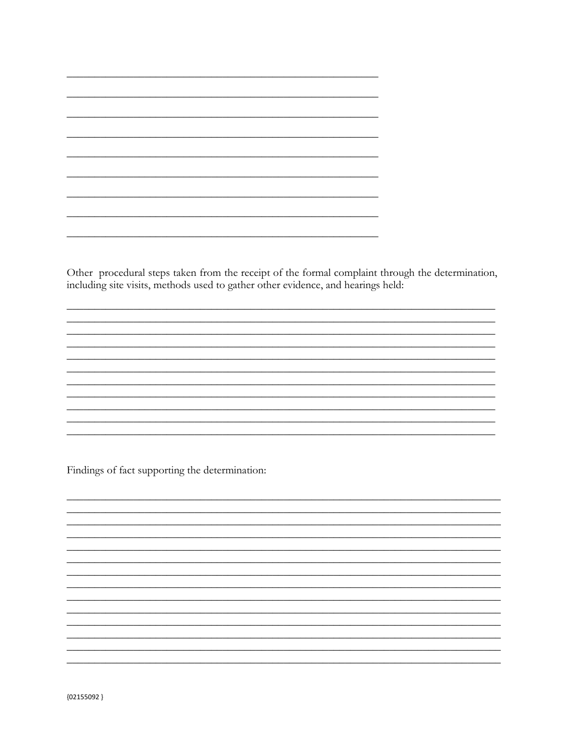Other procedural steps taken from the receipt of the formal complaint through the determination, including site visits, methods used to gather other evidence, and hearings held:

Findings of fact supporting the determination: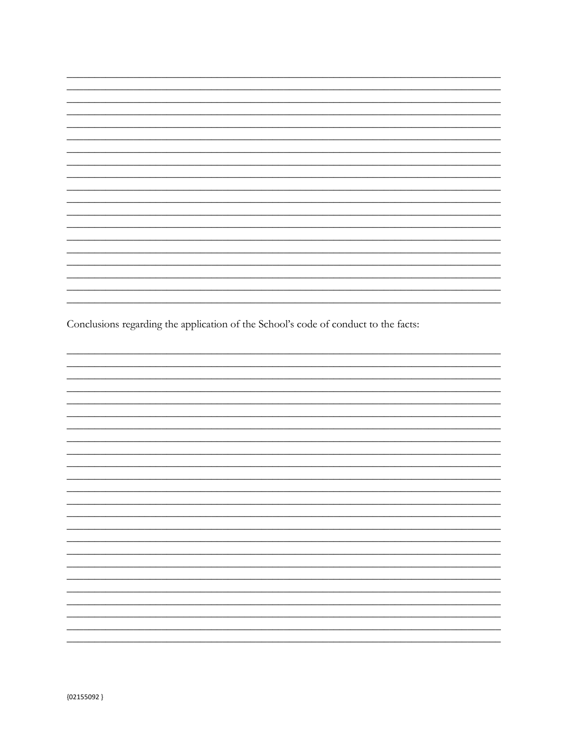Conclusions regarding the application of the School's code of conduct to the facts: